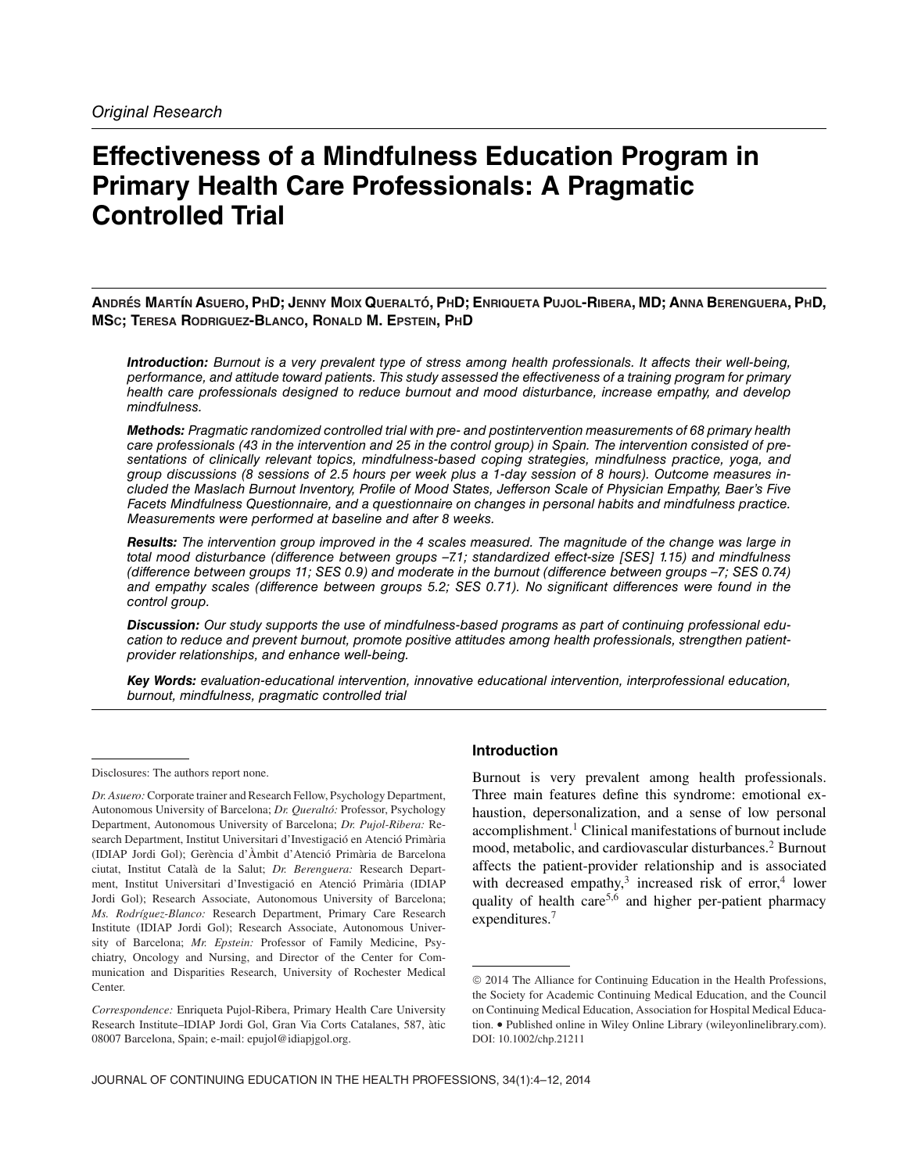# **Effectiveness of a Mindfulness Education Program in Primary Health Care Professionals: A Pragmatic Controlled Trial**

**ANDRES´ MART´ıN ASUERO, PHD; JENNY MOIX QUERALTO´, PHD; ENRIQUETA PUJOL-RIBERA, MD; ANNA BERENGUERA, PHD, MSC; TERESA RODRIGUEZ-BLANCO, RONALD M. EPSTEIN, PHD**

*Introduction:* Burnout is a very prevalent type of stress among health professionals. It affects their well-being, performance, and attitude toward patients. This study assessed the effectiveness of a training program for primary health care professionals designed to reduce burnout and mood disturbance, increase empathy, and develop mindfulness.

*Methods:* Pragmatic randomized controlled trial with pre- and postintervention measurements of 68 primary health care professionals (43 in the intervention and 25 in the control group) in Spain. The intervention consisted of presentations of clinically relevant topics, mindfulness-based coping strategies, mindfulness practice, yoga, and group discussions (8 sessions of 2.5 hours per week plus a 1-day session of 8 hours). Outcome measures included the Maslach Burnout Inventory, Profile of Mood States, Jefferson Scale of Physician Empathy, Baer's Five Facets Mindfulness Questionnaire, and a questionnaire on changes in personal habits and mindfulness practice. Measurements were performed at baseline and after 8 weeks.

*Results:* The intervention group improved in the 4 scales measured. The magnitude of the change was large in total mood disturbance (difference between groups –7.1; standardized effect-size [SES] 1.15) and mindfulness (difference between groups 11; SES 0.9) and moderate in the burnout (difference between groups –7; SES 0.74) and empathy scales (difference between groups 5.2; SES 0.71). No significant differences were found in the control group.

*Discussion:* Our study supports the use of mindfulness-based programs as part of continuing professional education to reduce and prevent burnout, promote positive attitudes among health professionals, strengthen patientprovider relationships, and enhance well-being.

*Key Words:* evaluation-educational intervention, innovative educational intervention, interprofessional education, burnout, mindfulness, pragmatic controlled trial

## **Introduction**

Burnout is very prevalent among health professionals. Three main features define this syndrome: emotional exhaustion, depersonalization, and a sense of low personal accomplishment.<sup>1</sup> Clinical manifestations of burnout include mood, metabolic, and cardiovascular disturbances.<sup>2</sup> Burnout affects the patient-provider relationship and is associated with decreased empathy,<sup>3</sup> increased risk of error,<sup>4</sup> lower quality of health care<sup>5,6</sup> and higher per-patient pharmacy expenditures.7

Disclosures: The authors report none.

*Dr. Asuero:* Corporate trainer and Research Fellow, Psychology Department, Autonomous University of Barcelona; *Dr. Queraltó:* Professor, Psychology Department, Autonomous University of Barcelona; *Dr. Pujol-Ribera:* Research Department, Institut Universitari d'Investigació en Atenció Primària (IDIAP Jordi Gol); Gerència d'Àmbit d'Atenció Primària de Barcelona ciutat, Institut Català de la Salut; *Dr. Berenguera:* Research Department, Institut Universitari d'Investigació en Atenció Primària (IDIAP Jordi Gol); Research Associate, Autonomous University of Barcelona; *Ms. Rodríguez-Blanco: Research Department, Primary Care Research* Institute (IDIAP Jordi Gol); Research Associate, Autonomous University of Barcelona; *Mr. Epstein:* Professor of Family Medicine, Psychiatry, Oncology and Nursing, and Director of the Center for Communication and Disparities Research, University of Rochester Medical Center.

*Correspondence:* Enriqueta Pujol-Ribera, Primary Health Care University Research Institute–IDIAP Jordi Gol, Gran Via Corts Catalanes, 587, atic ` 08007 Barcelona, Spain; e-mail: epujol@idiapjgol.org.

<sup>©</sup> 2014 The Alliance for Continuing Education in the Health Professions, the Society for Academic Continuing Medical Education, and the Council on Continuing Medical Education, Association for Hospital Medical Education. • Published online in Wiley Online Library (wileyonlinelibrary.com). DOI: 10.1002/chp.21211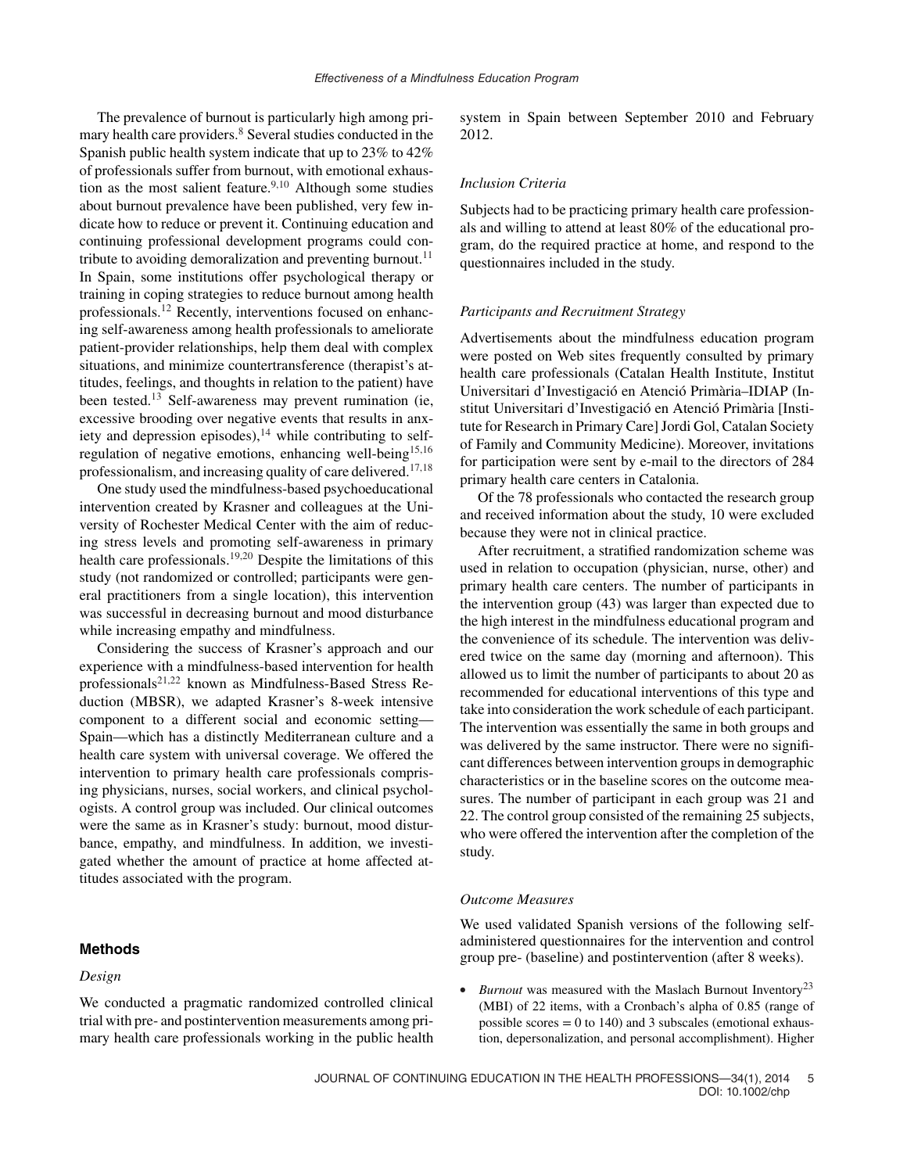The prevalence of burnout is particularly high among primary health care providers.<sup>8</sup> Several studies conducted in the Spanish public health system indicate that up to 23% to 42% of professionals suffer from burnout, with emotional exhaustion as the most salient feature.<sup>9,10</sup> Although some studies about burnout prevalence have been published, very few indicate how to reduce or prevent it. Continuing education and continuing professional development programs could contribute to avoiding demoralization and preventing burnout.<sup>11</sup> In Spain, some institutions offer psychological therapy or training in coping strategies to reduce burnout among health professionals.12 Recently, interventions focused on enhancing self-awareness among health professionals to ameliorate patient-provider relationships, help them deal with complex situations, and minimize countertransference (therapist's attitudes, feelings, and thoughts in relation to the patient) have been tested.<sup>13</sup> Self-awareness may prevent rumination (ie, excessive brooding over negative events that results in anxiety and depression episodes), $14$  while contributing to selfregulation of negative emotions, enhancing well-being<sup>15,16</sup> professionalism, and increasing quality of care delivered.<sup>17,18</sup>

One study used the mindfulness-based psychoeducational intervention created by Krasner and colleagues at the University of Rochester Medical Center with the aim of reducing stress levels and promoting self-awareness in primary health care professionals.19,20 Despite the limitations of this study (not randomized or controlled; participants were general practitioners from a single location), this intervention was successful in decreasing burnout and mood disturbance while increasing empathy and mindfulness.

Considering the success of Krasner's approach and our experience with a mindfulness-based intervention for health professionals<sup>21,22</sup> known as Mindfulness-Based Stress Reduction (MBSR), we adapted Krasner's 8-week intensive component to a different social and economic setting— Spain—which has a distinctly Mediterranean culture and a health care system with universal coverage. We offered the intervention to primary health care professionals comprising physicians, nurses, social workers, and clinical psychologists. A control group was included. Our clinical outcomes were the same as in Krasner's study: burnout, mood disturbance, empathy, and mindfulness. In addition, we investigated whether the amount of practice at home affected attitudes associated with the program.

## **Methods**

## *Design*

We conducted a pragmatic randomized controlled clinical trial with pre- and postintervention measurements among primary health care professionals working in the public health system in Spain between September 2010 and February 2012.

#### *Inclusion Criteria*

Subjects had to be practicing primary health care professionals and willing to attend at least 80% of the educational program, do the required practice at home, and respond to the questionnaires included in the study.

#### *Participants and Recruitment Strategy*

Advertisements about the mindfulness education program were posted on Web sites frequently consulted by primary health care professionals (Catalan Health Institute, Institut Universitari d'Investigació en Atenció Primària-IDIAP (Institut Universitari d'Investigació en Atenció Primària [Institute for Research in Primary Care] Jordi Gol, Catalan Society of Family and Community Medicine). Moreover, invitations for participation were sent by e-mail to the directors of 284 primary health care centers in Catalonia.

Of the 78 professionals who contacted the research group and received information about the study, 10 were excluded because they were not in clinical practice.

After recruitment, a stratified randomization scheme was used in relation to occupation (physician, nurse, other) and primary health care centers. The number of participants in the intervention group (43) was larger than expected due to the high interest in the mindfulness educational program and the convenience of its schedule. The intervention was delivered twice on the same day (morning and afternoon). This allowed us to limit the number of participants to about 20 as recommended for educational interventions of this type and take into consideration the work schedule of each participant. The intervention was essentially the same in both groups and was delivered by the same instructor. There were no significant differences between intervention groups in demographic characteristics or in the baseline scores on the outcome measures. The number of participant in each group was 21 and 22. The control group consisted of the remaining 25 subjects, who were offered the intervention after the completion of the study.

## *Outcome Measures*

We used validated Spanish versions of the following selfadministered questionnaires for the intervention and control group pre- (baseline) and postintervention (after 8 weeks).

• *Burnout* was measured with the Maslach Burnout Inventory<sup>23</sup> (MBI) of 22 items, with a Cronbach's alpha of 0.85 (range of possible scores  $= 0$  to 140) and 3 subscales (emotional exhaustion, depersonalization, and personal accomplishment). Higher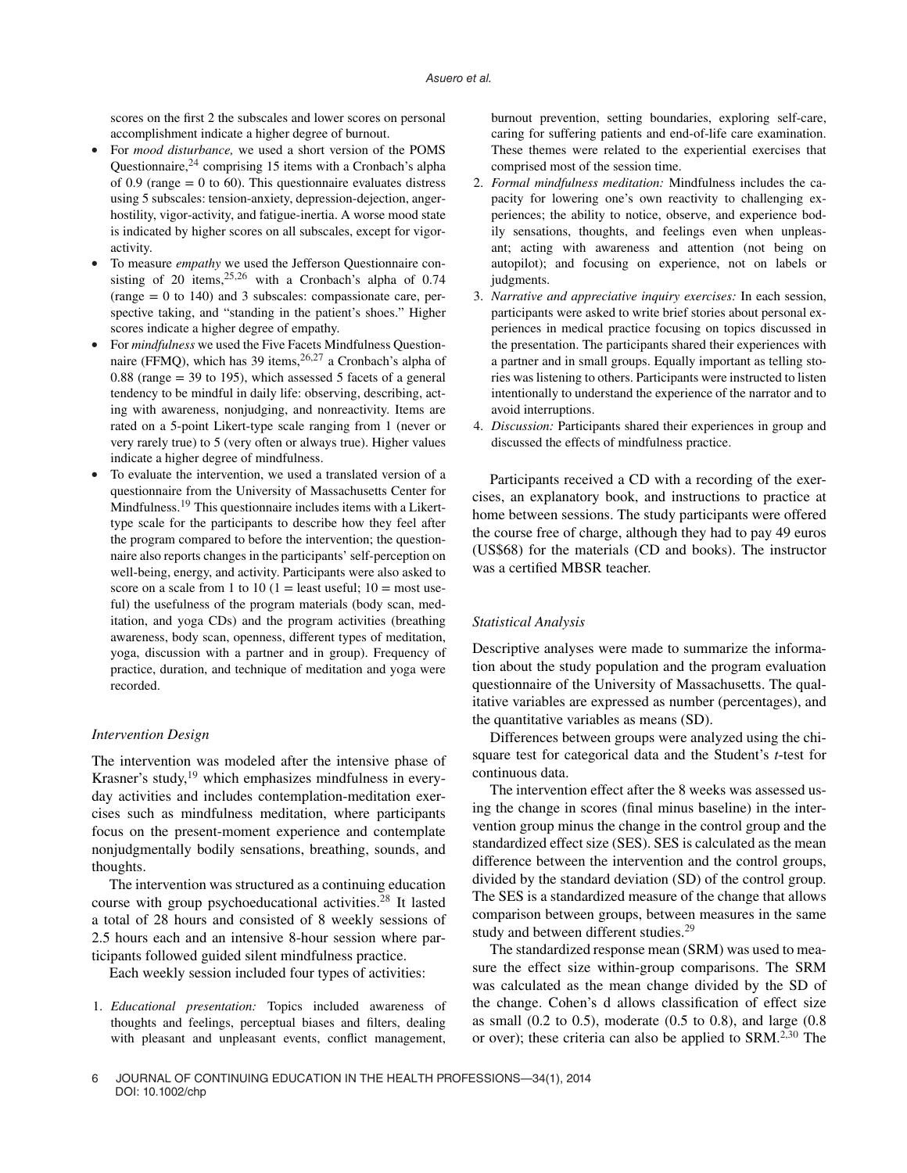scores on the first 2 the subscales and lower scores on personal accomplishment indicate a higher degree of burnout.

- For *mood disturbance*, we used a short version of the POMS Questionnaire, $24$  comprising 15 items with a Cronbach's alpha of 0.9 (range  $= 0$  to 60). This questionnaire evaluates distress using 5 subscales: tension-anxiety, depression-dejection, angerhostility, vigor-activity, and fatigue-inertia. A worse mood state is indicated by higher scores on all subscales, except for vigoractivity.
- To measure *empathy* we used the Jefferson Questionnaire consisting of 20 items,  $25,26$  with a Cronbach's alpha of 0.74 (range  $= 0$  to 140) and 3 subscales: compassionate care, perspective taking, and "standing in the patient's shoes." Higher scores indicate a higher degree of empathy.
- For *mindfulness* we used the Five Facets Mindfulness Questionnaire (FFMQ), which has 39 items,<sup>26,27</sup> a Cronbach's alpha of  $0.88$  (range = 39 to 195), which assessed 5 facets of a general tendency to be mindful in daily life: observing, describing, acting with awareness, nonjudging, and nonreactivity. Items are rated on a 5-point Likert-type scale ranging from 1 (never or very rarely true) to 5 (very often or always true). Higher values indicate a higher degree of mindfulness.
- To evaluate the intervention, we used a translated version of a questionnaire from the University of Massachusetts Center for Mindfulness.19 This questionnaire includes items with a Likerttype scale for the participants to describe how they feel after the program compared to before the intervention; the questionnaire also reports changes in the participants' self-perception on well-being, energy, and activity. Participants were also asked to score on a scale from 1 to 10 (1 = least useful;  $10 =$  most useful) the usefulness of the program materials (body scan, meditation, and yoga CDs) and the program activities (breathing awareness, body scan, openness, different types of meditation, yoga, discussion with a partner and in group). Frequency of practice, duration, and technique of meditation and yoga were recorded.

#### *Intervention Design*

The intervention was modeled after the intensive phase of Krasner's study, $19$  which emphasizes mindfulness in everyday activities and includes contemplation-meditation exercises such as mindfulness meditation, where participants focus on the present-moment experience and contemplate nonjudgmentally bodily sensations, breathing, sounds, and thoughts.

The intervention was structured as a continuing education course with group psychoeducational activities. $28$  It lasted a total of 28 hours and consisted of 8 weekly sessions of 2.5 hours each and an intensive 8-hour session where participants followed guided silent mindfulness practice.

Each weekly session included four types of activities:

1. *Educational presentation:* Topics included awareness of thoughts and feelings, perceptual biases and filters, dealing with pleasant and unpleasant events, conflict management, burnout prevention, setting boundaries, exploring self-care, caring for suffering patients and end-of-life care examination. These themes were related to the experiential exercises that comprised most of the session time.

- 2. *Formal mindfulness meditation:* Mindfulness includes the capacity for lowering one's own reactivity to challenging experiences; the ability to notice, observe, and experience bodily sensations, thoughts, and feelings even when unpleasant; acting with awareness and attention (not being on autopilot); and focusing on experience, not on labels or judgments.
- 3. *Narrative and appreciative inquiry exercises:* In each session, participants were asked to write brief stories about personal experiences in medical practice focusing on topics discussed in the presentation. The participants shared their experiences with a partner and in small groups. Equally important as telling stories was listening to others. Participants were instructed to listen intentionally to understand the experience of the narrator and to avoid interruptions.
- 4. *Discussion:* Participants shared their experiences in group and discussed the effects of mindfulness practice.

Participants received a CD with a recording of the exercises, an explanatory book, and instructions to practice at home between sessions. The study participants were offered the course free of charge, although they had to pay 49 euros (US\$68) for the materials (CD and books). The instructor was a certified MBSR teacher.

#### *Statistical Analysis*

Descriptive analyses were made to summarize the information about the study population and the program evaluation questionnaire of the University of Massachusetts. The qualitative variables are expressed as number (percentages), and the quantitative variables as means (SD).

Differences between groups were analyzed using the chisquare test for categorical data and the Student's *t*-test for continuous data.

The intervention effect after the 8 weeks was assessed using the change in scores (final minus baseline) in the intervention group minus the change in the control group and the standardized effect size (SES). SES is calculated as the mean difference between the intervention and the control groups, divided by the standard deviation (SD) of the control group. The SES is a standardized measure of the change that allows comparison between groups, between measures in the same study and between different studies.<sup>29</sup>

The standardized response mean (SRM) was used to measure the effect size within-group comparisons. The SRM was calculated as the mean change divided by the SD of the change. Cohen's d allows classification of effect size as small (0.2 to 0.5), moderate (0.5 to 0.8), and large (0.8 or over); these criteria can also be applied to SRM.2,30 The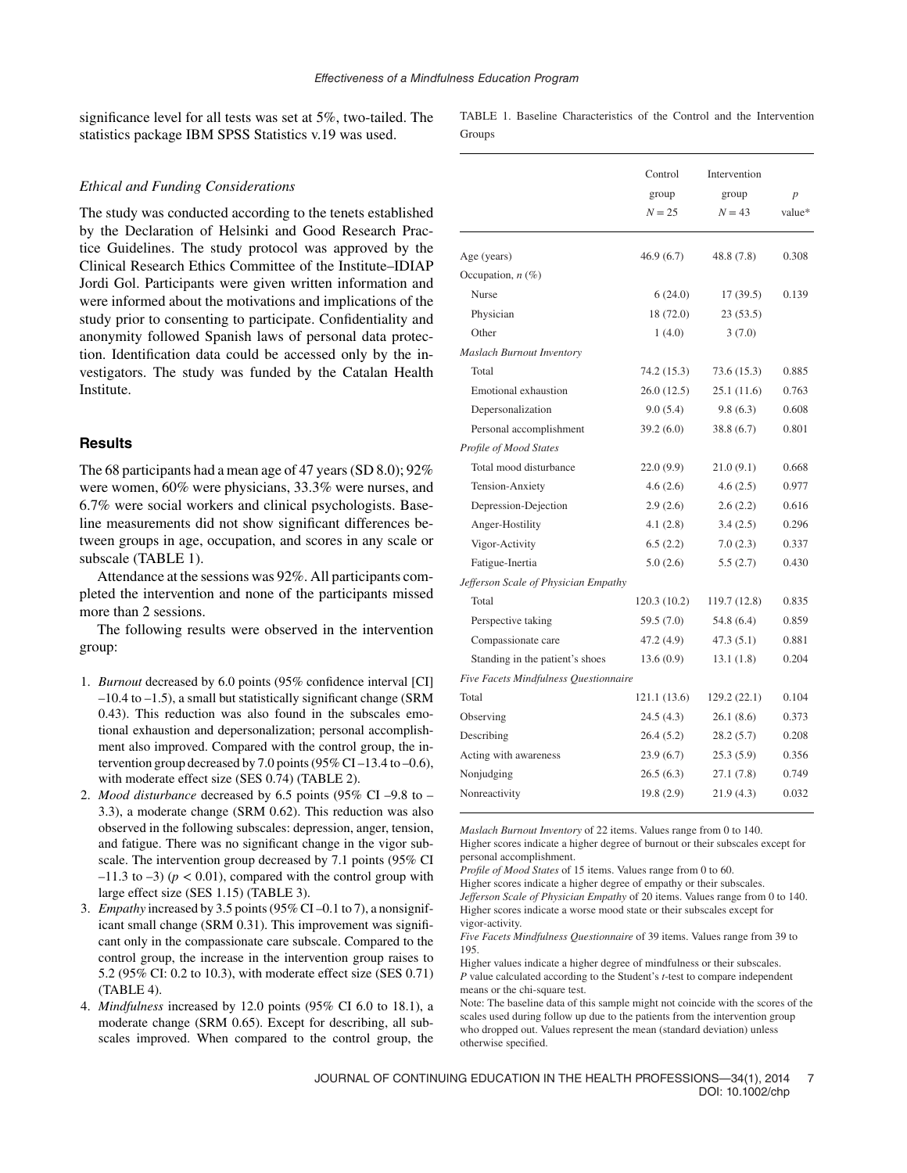significance level for all tests was set at 5%, two-tailed. The statistics package IBM SPSS Statistics v.19 was used.

#### *Ethical and Funding Considerations*

The study was conducted according to the tenets established by the Declaration of Helsinki and Good Research Practice Guidelines. The study protocol was approved by the Clinical Research Ethics Committee of the Institute–IDIAP Jordi Gol. Participants were given written information and were informed about the motivations and implications of the study prior to consenting to participate. Confidentiality and anonymity followed Spanish laws of personal data protection. Identification data could be accessed only by the investigators. The study was funded by the Catalan Health Institute.

## **Results**

The 68 participants had a mean age of 47 years (SD 8.0); 92% were women, 60% were physicians, 33.3% were nurses, and 6.7% were social workers and clinical psychologists. Baseline measurements did not show significant differences between groups in age, occupation, and scores in any scale or subscale (TABLE 1).

Attendance at the sessions was 92%. All participants completed the intervention and none of the participants missed more than 2 sessions.

The following results were observed in the intervention group:

- 1. *Burnout* decreased by 6.0 points (95% confidence interval [CI] –10.4 to –1.5), a small but statistically significant change (SRM 0.43). This reduction was also found in the subscales emotional exhaustion and depersonalization; personal accomplishment also improved. Compared with the control group, the intervention group decreased by 7.0 points (95% CI $-13.4$  to  $-0.6$ ), with moderate effect size (SES 0.74) (TABLE 2).
- 2. *Mood disturbance* decreased by 6.5 points (95% CI –9.8 to 3.3), a moderate change (SRM 0.62). This reduction was also observed in the following subscales: depression, anger, tension, and fatigue. There was no significant change in the vigor subscale. The intervention group decreased by 7.1 points (95% CI  $-11.3$  to  $-3$ ) ( $p < 0.01$ ), compared with the control group with large effect size (SES 1.15) (TABLE 3).
- 3. *Empathy* increased by 3.5 points (95% CI –0.1 to 7), a nonsignificant small change (SRM 0.31). This improvement was significant only in the compassionate care subscale. Compared to the control group, the increase in the intervention group raises to 5.2 (95% CI: 0.2 to 10.3), with moderate effect size (SES 0.71) (TABLE 4).
- 4. *Mindfulness* increased by 12.0 points (95% CI 6.0 to 18.1), a moderate change (SRM 0.65). Except for describing, all subscales improved. When compared to the control group, the

TABLE 1. Baseline Characteristics of the Control and the Intervention Groups

|                                       | Control<br>group | Intervention<br>group | p      |
|---------------------------------------|------------------|-----------------------|--------|
|                                       | $N = 25$         | $N = 43$              | value* |
| Age (years)                           | 46.9 (6.7)       | 48.8 (7.8)            | 0.308  |
| Occupation, $n$ (%)                   |                  |                       |        |
| Nurse                                 | 6(24.0)          | 17 (39.5)             | 0.139  |
| Physician                             | 18 (72.0)        | 23(53.5)              |        |
| Other                                 | 1(4.0)           | 3(7.0)                |        |
| <b>Maslach Burnout Inventory</b>      |                  |                       |        |
| Total                                 | 74.2 (15.3)      | 73.6 (15.3)           | 0.885  |
| Emotional exhaustion                  | 26.0(12.5)       | 25.1(11.6)            | 0.763  |
| Depersonalization                     | 9.0(5.4)         | 9.8(6.3)              | 0.608  |
| Personal accomplishment               | 39.2(6.0)        | 38.8(6.7)             | 0.801  |
| Profile of Mood States                |                  |                       |        |
| Total mood disturbance                | 22.0(9.9)        | 21.0(9.1)             | 0.668  |
| Tension-Anxiety                       | 4.6(2.6)         | 4.6(2.5)              | 0.977  |
| Depression-Dejection                  | 2.9(2.6)         | 2.6(2.2)              | 0.616  |
| Anger-Hostility                       | 4.1(2.8)         | 3.4(2.5)              | 0.296  |
| Vigor-Activity                        | 6.5(2.2)         | 7.0(2.3)              | 0.337  |
| Fatigue-Inertia                       | 5.0(2.6)         | 5.5(2.7)              | 0.430  |
| Jefferson Scale of Physician Empathy  |                  |                       |        |
| Total                                 | 120.3 (10.2)     | 119.7 (12.8)          | 0.835  |
| Perspective taking                    | 59.5 (7.0)       | 54.8 (6.4)            | 0.859  |
| Compassionate care                    | 47.2 (4.9)       | 47.3(5.1)             | 0.881  |
| Standing in the patient's shoes       | 13.6(0.9)        | 13.1(1.8)             | 0.204  |
| Five Facets Mindfulness Questionnaire |                  |                       |        |
| Total                                 | 121.1 (13.6)     | 129.2 (22.1)          | 0.104  |
| Observing                             | 24.5 (4.3)       | 26.1(8.6)             | 0.373  |
| Describing                            | 26.4(5.2)        | 28.2(5.7)             | 0.208  |
| Acting with awareness                 | 23.9(6.7)        | 25.3(5.9)             | 0.356  |
| Nonjudging                            | 26.5(6.3)        | 27.1(7.8)             | 0.749  |
| Nonreactivity                         | 19.8 (2.9)       | 21.9(4.3)             | 0.032  |

*Maslach Burnout Inventory* of 22 items. Values range from 0 to 140.

Higher scores indicate a higher degree of burnout or their subscales except for personal accomplishment.

*Profile of Mood States* of 15 items. Values range from 0 to 60.

Higher scores indicate a higher degree of empathy or their subscales. *Jefferson Scale of Physician Empathy* of 20 items. Values range from 0 to 140. Higher scores indicate a worse mood state or their subscales except for vigor-activity.

*Five Facets Mindfulness Questionnaire* of 39 items. Values range from 39 to 195.

Higher values indicate a higher degree of mindfulness or their subscales. *P* value calculated according to the Student's *t*-test to compare independent means or the chi-square test.

Note: The baseline data of this sample might not coincide with the scores of the scales used during follow up due to the patients from the intervention group who dropped out. Values represent the mean (standard deviation) unless otherwise specified.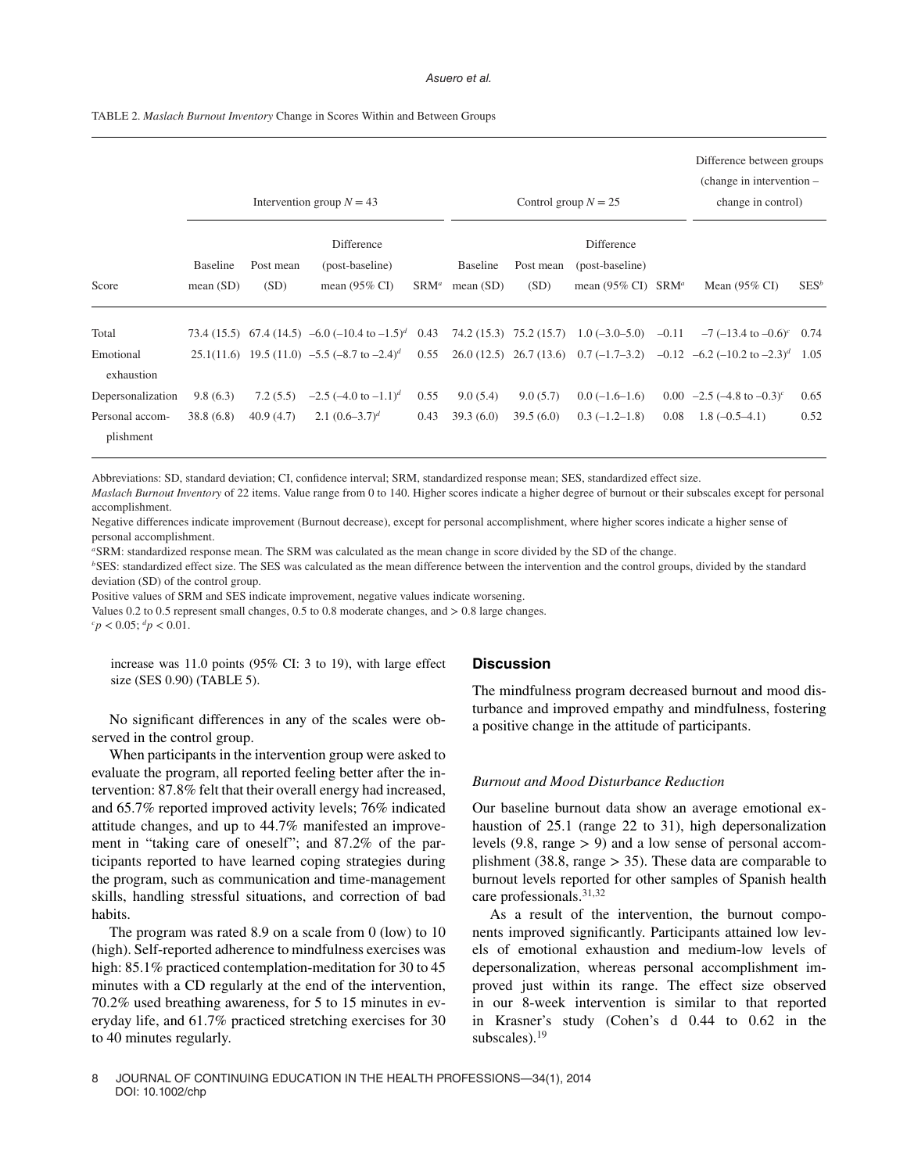TABLE 2. *Maslach Burnout Inventory* Change in Scores Within and Between Groups

|                              |                                |                   | Intervention group $N = 43$                                       | Control group $N = 25$ |                         |                   |                                                                      | Difference between groups<br>(change in intervention –<br>change in control) |                                                                                     |         |
|------------------------------|--------------------------------|-------------------|-------------------------------------------------------------------|------------------------|-------------------------|-------------------|----------------------------------------------------------------------|------------------------------------------------------------------------------|-------------------------------------------------------------------------------------|---------|
| Score                        | <b>Baseline</b><br>mean $(SD)$ | Post mean<br>(SD) | Difference<br>(post-baseline)<br>mean $(95\% \text{ CI})$         | $SRM^a$                | Baseline<br>mean $(SD)$ | Post mean<br>(SD) | Difference<br>(post-baseline)<br>mean (95% CI) $\,$ SRM <sup>a</sup> |                                                                              | Mean $(95\% \text{ CI})$                                                            | $SES^b$ |
| Total                        |                                |                   | 73.4 (15.5) 67.4 (14.5) -6.0 (-10.4 to $-1.5$ ) <sup>d</sup> 0.43 |                        |                         |                   | $74.2(15.3)$ $75.2(15.7)$ $1.0(-3.0-5.0)$ $-0.11$                    |                                                                              | $-7$ (-13.4 to $-0.6$ ) <sup>c</sup> 0.74                                           |         |
| Emotional<br>exhaustion      |                                |                   | 25.1(11.6) 19.5 (11.0) $-5.5$ ( $-8.7$ to $-2.4$ ) <sup>d</sup>   | 0.55                   |                         |                   |                                                                      |                                                                              | 26.0 (12.5) 26.7 (13.6) 0.7 (-1.7-3.2) -0.12 -6.2 (-10.2 to -2.3) <sup>d</sup> 1.05 |         |
| Depersonalization            | 9.8(6.3)                       | 7.2(5.5)          | $-2.5$ $(-4.0 \text{ to } -1.1)^d$                                | 0.55                   | 9.0(5.4)                | 9.0(5.7)          | $0.0(-1.6-1.6)$                                                      |                                                                              | 0.00 $-2.5$ (-4.8 to $-0.3$ ) <sup>c</sup>                                          | 0.65    |
| Personal accom-<br>plishment | 38.8(6.8)                      | 40.9(4.7)         | 2.1 $(0.6-3.7)^d$                                                 | 0.43                   | 39.3(6.0)               | 39.5(6.0)         | $0.3(-1.2-1.8)$                                                      | 0.08                                                                         | $1.8(-0.5-4.1)$                                                                     | 0.52    |

Abbreviations: SD, standard deviation; CI, confidence interval; SRM, standardized response mean; SES, standardized effect size.

*Maslach Burnout Inventory* of 22 items. Value range from 0 to 140. Higher scores indicate a higher degree of burnout or their subscales except for personal accomplishment.

Negative differences indicate improvement (Burnout decrease), except for personal accomplishment, where higher scores indicate a higher sense of personal accomplishment.

*<sup>a</sup>*SRM: standardized response mean. The SRM was calculated as the mean change in score divided by the SD of the change.

*b*SES: standardized effect size. The SES was calculated as the mean difference between the intervention and the control groups, divided by the standard deviation (SD) of the control group.

Positive values of SRM and SES indicate improvement, negative values indicate worsening.

Values 0.2 to 0.5 represent small changes, 0.5 to 0.8 moderate changes, and *>* 0.8 large changes.  $c_p < 0.05$ ;  $dp < 0.01$ .

increase was 11.0 points (95% CI: 3 to 19), with large effect size (SES 0.90) (TABLE 5).

No significant differences in any of the scales were observed in the control group.

When participants in the intervention group were asked to evaluate the program, all reported feeling better after the intervention: 87.8% felt that their overall energy had increased, and 65.7% reported improved activity levels; 76% indicated attitude changes, and up to 44.7% manifested an improvement in "taking care of oneself"; and 87.2% of the participants reported to have learned coping strategies during the program, such as communication and time-management skills, handling stressful situations, and correction of bad habits.

The program was rated 8.9 on a scale from 0 (low) to 10 (high). Self-reported adherence to mindfulness exercises was high: 85.1% practiced contemplation-meditation for 30 to 45 minutes with a CD regularly at the end of the intervention, 70.2% used breathing awareness, for 5 to 15 minutes in everyday life, and 61.7% practiced stretching exercises for 30 to 40 minutes regularly.

## **Discussion**

The mindfulness program decreased burnout and mood disturbance and improved empathy and mindfulness, fostering a positive change in the attitude of participants.

## *Burnout and Mood Disturbance Reduction*

Our baseline burnout data show an average emotional exhaustion of 25.1 (range 22 to 31), high depersonalization levels (9.8, range *>* 9) and a low sense of personal accomplishment (38.8, range *>* 35). These data are comparable to burnout levels reported for other samples of Spanish health care professionals.31,32

As a result of the intervention, the burnout components improved significantly. Participants attained low levels of emotional exhaustion and medium-low levels of depersonalization, whereas personal accomplishment improved just within its range. The effect size observed in our 8-week intervention is similar to that reported in Krasner's study (Cohen's d 0.44 to 0.62 in the subscales).<sup>19</sup>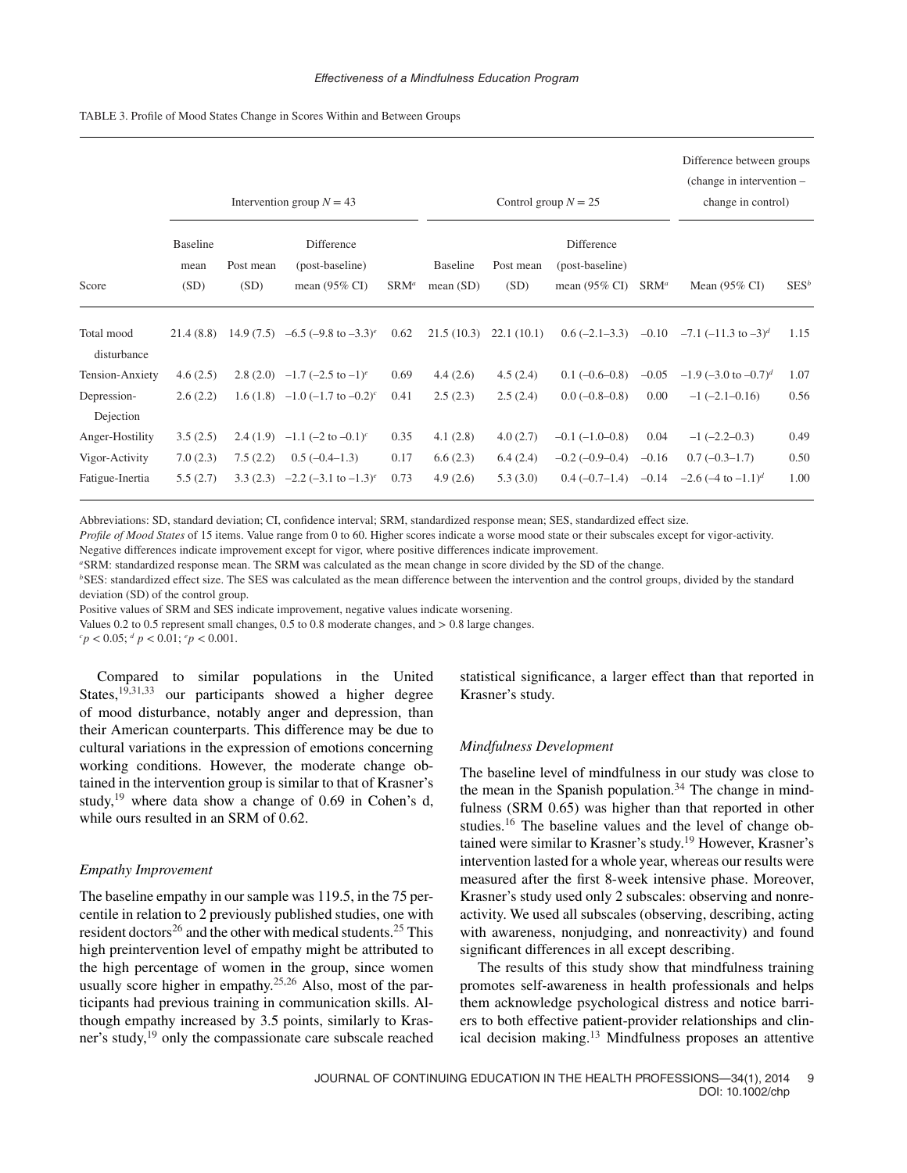|                           |                                 |                   | Intervention group $N = 43$                               |         | Control group $N = 25$         | Difference between groups<br>(change in intervention –<br>change in control) |                                                           |         |                                                     |         |
|---------------------------|---------------------------------|-------------------|-----------------------------------------------------------|---------|--------------------------------|------------------------------------------------------------------------------|-----------------------------------------------------------|---------|-----------------------------------------------------|---------|
| Score                     | <b>Baseline</b><br>mean<br>(SD) | Post mean<br>(SD) | Difference<br>(post-baseline)<br>mean $(95\% \text{ CI})$ | $SRM^a$ | <b>Baseline</b><br>mean $(SD)$ | Post mean<br>(SD)                                                            | Difference<br>(post-baseline)<br>mean $(95\% \text{ CI})$ | $SRM^a$ | Mean $(95\% \text{ CI})$                            | $SES^b$ |
| Total mood<br>disturbance | 21.4(8.8)                       |                   | 14.9 (7.5) $-6.5$ ( $-9.8$ to $-3.3$ ) <sup>e</sup>       | 0.62    |                                | $21.5(10.3)$ $22.1(10.1)$                                                    |                                                           |         | 0.6 $(-2.1-3.3)$ $-0.10$ $-7.1$ $(-11.3$ to $-3)^d$ | 1.15    |
| Tension-Anxiety           | 4.6(2.5)                        |                   | 2.8 (2.0) $-1.7$ $(-2.5$ to $-1$ <sup>e</sup>             | 0.69    | 4.4(2.6)                       | 4.5(2.4)                                                                     | $0.1(-0.6-0.8)$                                           | $-0.05$ | $-1.9$ (-3.0 to $-0.7$ ) <sup>d</sup>               | 1.07    |
| Depression-               | 2.6(2.2)                        |                   | 1.6 (1.8) $-1.0$ (-1.7 to $-0.2$ ) <sup>c</sup>           | 0.41    | 2.5(2.3)                       | 2.5(2.4)                                                                     | $0.0(-0.8-0.8)$                                           | 0.00    | $-1$ $(-2.1-0.16)$                                  | 0.56    |
| Dejection                 |                                 |                   |                                                           |         |                                |                                                                              |                                                           |         |                                                     |         |
| Anger-Hostility           | 3.5(2.5)                        | 2.4(1.9)          | $-1.1$ $(-2 \text{ to } -0.1)^c$                          | 0.35    | 4.1(2.8)                       | 4.0(2.7)                                                                     | $-0.1(-1.0-0.8)$                                          | 0.04    | $-1$ ( $-2.2-0.3$ )                                 | 0.49    |
| Vigor-Activity            | 7.0(2.3)                        | 7.5(2.2)          | $0.5(-0.4-1.3)$                                           | 0.17    | 6.6(2.3)                       | 6.4(2.4)                                                                     | $-0.2$ ( $-0.9-0.4$ )                                     | $-0.16$ | $0.7(-0.3-1.7)$                                     | 0.50    |

TABLE 3. Profile of Mood States Change in Scores Within and Between Groups

Abbreviations: SD, standard deviation; CI, confidence interval; SRM, standardized response mean; SES, standardized effect size.

*Profile of Mood States* of 15 items. Value range from 0 to 60. Higher scores indicate a worse mood state or their subscales except for vigor-activity.

Negative differences indicate improvement except for vigor, where positive differences indicate improvement.

*<sup>a</sup>*SRM: standardized response mean. The SRM was calculated as the mean change in score divided by the SD of the change.

*<sup>b</sup>*SES: standardized effect size. The SES was calculated as the mean difference between the intervention and the control groups, divided by the standard deviation (SD) of the control group.

Fatigue-Inertia 5.5 (2.7) 3.3 (2.3) –2.2 (–3.1 to –1.3)*<sup>e</sup>* 0.73 4.9 (2.6) 5.3 (3.0) 0.4 (–0.7–1.4) –0.14 –2.6 (–4 to –1.1)*<sup>d</sup>* 1.00

Positive values of SRM and SES indicate improvement, negative values indicate worsening.

Values 0.2 to 0.5 represent small changes, 0.5 to 0.8 moderate changes, and *>* 0.8 large changes.

 $c_p < 0.05$ ;  $d_p < 0.01$ ;  $e_p < 0.001$ .

Compared to similar populations in the United States,<sup>19,31,33</sup> our participants showed a higher degree of mood disturbance, notably anger and depression, than their American counterparts. This difference may be due to cultural variations in the expression of emotions concerning working conditions. However, the moderate change obtained in the intervention group is similar to that of Krasner's study,<sup>19</sup> where data show a change of 0.69 in Cohen's d, while ours resulted in an SRM of 0.62.

## *Empathy Improvement*

The baseline empathy in our sample was 119.5, in the 75 percentile in relation to 2 previously published studies, one with resident doctors<sup>26</sup> and the other with medical students.<sup>25</sup> This high preintervention level of empathy might be attributed to the high percentage of women in the group, since women usually score higher in empathy.<sup>25,26</sup> Also, most of the participants had previous training in communication skills. Although empathy increased by 3.5 points, similarly to Krasner's study,<sup>19</sup> only the compassionate care subscale reached statistical significance, a larger effect than that reported in Krasner's study.

#### *Mindfulness Development*

The baseline level of mindfulness in our study was close to the mean in the Spanish population.<sup>34</sup> The change in mindfulness (SRM 0.65) was higher than that reported in other studies.<sup>16</sup> The baseline values and the level of change obtained were similar to Krasner's study.19 However, Krasner's intervention lasted for a whole year, whereas our results were measured after the first 8-week intensive phase. Moreover, Krasner's study used only 2 subscales: observing and nonreactivity. We used all subscales (observing, describing, acting with awareness, nonjudging, and nonreactivity) and found significant differences in all except describing.

The results of this study show that mindfulness training promotes self-awareness in health professionals and helps them acknowledge psychological distress and notice barriers to both effective patient-provider relationships and clinical decision making.<sup>13</sup> Mindfulness proposes an attentive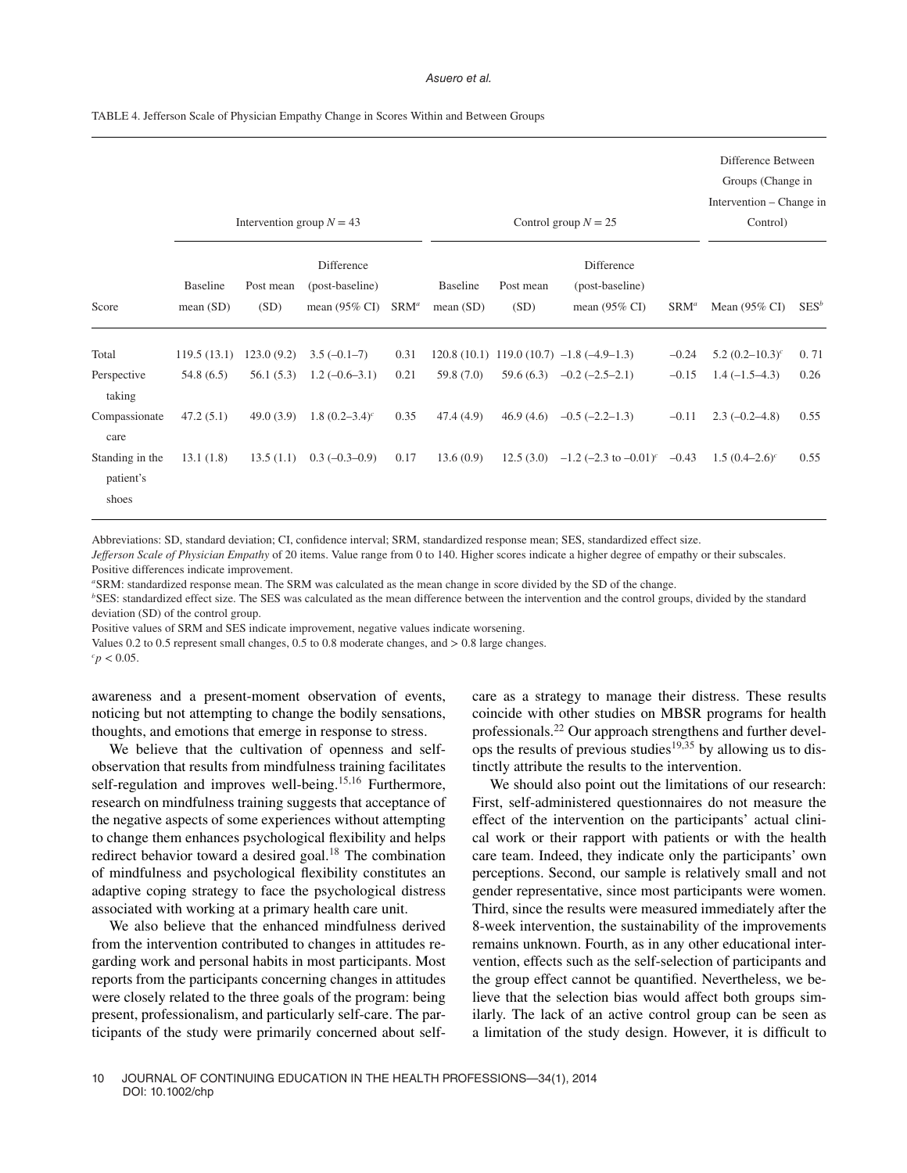#### Asuero et al.

| TABLE 4. Jefferson Scale of Physician Empathy Change in Scores Within and Between Groups |  |  |
|------------------------------------------------------------------------------------------|--|--|
|                                                                                          |  |  |

|                                               | Intervention group $N = 43$<br>Control group $N = 25$ |                        |                                                           |              |                             |                   |                                                           | Difference Between<br>Groups (Change in<br>Intervention – Change in<br>Control) |                                    |              |
|-----------------------------------------------|-------------------------------------------------------|------------------------|-----------------------------------------------------------|--------------|-----------------------------|-------------------|-----------------------------------------------------------|---------------------------------------------------------------------------------|------------------------------------|--------------|
| Score                                         | Baseline<br>mean(SD)                                  | Post mean<br>(SD)      | Difference<br>(post-baseline)<br>mean $(95\% \text{ CI})$ | $SRM^a$      | <b>Baseline</b><br>mean(SD) | Post mean<br>(SD) | Difference<br>(post-baseline)<br>mean $(95\% \text{ CI})$ | $SRM^a$                                                                         | Mean $(95\% \text{ CI})$           | $SES^b$      |
| Total                                         | 119.5(13.1)                                           | 123.0(9.2)             | $3.5(-0.1-7)$                                             | 0.31         |                             |                   | $120.8(10.1)$ 119.0 (10.7) $-1.8(-4.9-1.3)$               | $-0.24$                                                                         | 5.2 $(0.2-10.3)^c$                 | 0.71         |
| Perspective<br>taking<br>Compassionate        | 54.8(6.5)<br>47.2(5.1)                                | 56.1(5.3)<br>49.0(3.9) | $1.2(-0.6-3.1)$<br>1.8 $(0.2-3.4)^c$                      | 0.21<br>0.35 | 59.8(7.0)<br>47.4 (4.9)     | 46.9(4.6)         | $59.6(6.3)$ $-0.2(-2.5-2.1)$<br>$-0.5(-2.2-1.3)$          | $-0.15$<br>$-0.11$                                                              | $1.4(-1.5-4.3)$<br>$2.3(-0.2-4.8)$ | 0.26<br>0.55 |
| care<br>Standing in the<br>patient's<br>shoes | 13.1(1.8)                                             | 13.5(1.1)              | $0.3(-0.3-0.9)$                                           | 0.17         | 13.6(0.9)                   | 12.5(3.0)         | $-1.2$ (-2.3 to $-0.01$ ) <sup>c</sup> $-0.43$            |                                                                                 | $1.5(0.4-2.6)^c$                   | 0.55         |

Abbreviations: SD, standard deviation; CI, confidence interval; SRM, standardized response mean; SES, standardized effect size.

*Jefferson Scale of Physician Empathy* of 20 items. Value range from 0 to 140. Higher scores indicate a higher degree of empathy or their subscales. Positive differences indicate improvement.

*<sup>a</sup>*SRM: standardized response mean. The SRM was calculated as the mean change in score divided by the SD of the change.

*b*SES: standardized effect size. The SES was calculated as the mean difference between the intervention and the control groups, divided by the standard deviation (SD) of the control group.

Positive values of SRM and SES indicate improvement, negative values indicate worsening.

Values 0.2 to 0.5 represent small changes, 0.5 to 0.8 moderate changes, and *>* 0.8 large changes.

 $c_p < 0.05$ .

awareness and a present-moment observation of events, noticing but not attempting to change the bodily sensations, thoughts, and emotions that emerge in response to stress.

We believe that the cultivation of openness and selfobservation that results from mindfulness training facilitates self-regulation and improves well-being.<sup>15,16</sup> Furthermore, research on mindfulness training suggests that acceptance of the negative aspects of some experiences without attempting to change them enhances psychological flexibility and helps redirect behavior toward a desired goal.18 The combination of mindfulness and psychological flexibility constitutes an adaptive coping strategy to face the psychological distress associated with working at a primary health care unit.

We also believe that the enhanced mindfulness derived from the intervention contributed to changes in attitudes regarding work and personal habits in most participants. Most reports from the participants concerning changes in attitudes were closely related to the three goals of the program: being present, professionalism, and particularly self-care. The participants of the study were primarily concerned about selfcare as a strategy to manage their distress. These results coincide with other studies on MBSR programs for health professionals.22 Our approach strengthens and further develops the results of previous studies<sup>19,35</sup> by allowing us to distinctly attribute the results to the intervention.

We should also point out the limitations of our research: First, self-administered questionnaires do not measure the effect of the intervention on the participants' actual clinical work or their rapport with patients or with the health care team. Indeed, they indicate only the participants' own perceptions. Second, our sample is relatively small and not gender representative, since most participants were women. Third, since the results were measured immediately after the 8-week intervention, the sustainability of the improvements remains unknown. Fourth, as in any other educational intervention, effects such as the self-selection of participants and the group effect cannot be quantified. Nevertheless, we believe that the selection bias would affect both groups similarly. The lack of an active control group can be seen as a limitation of the study design. However, it is difficult to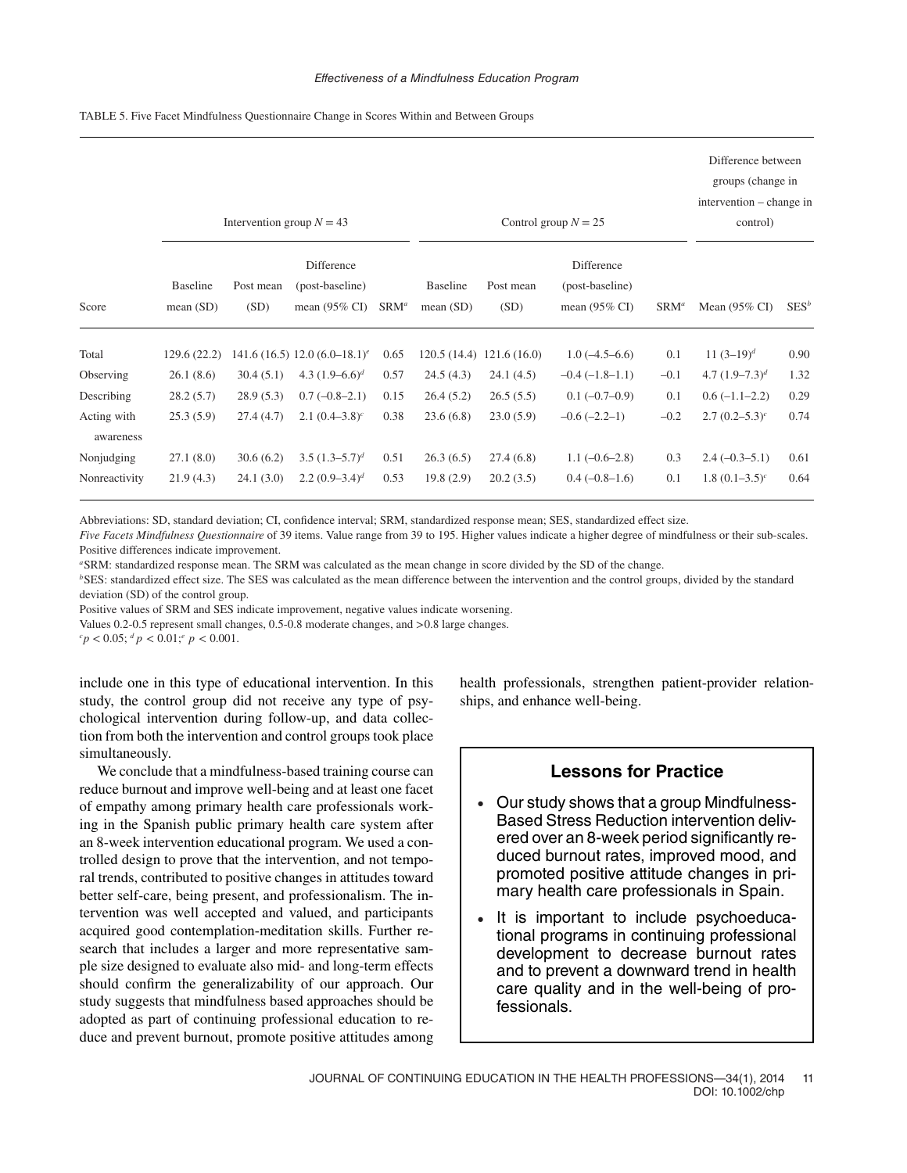| TABLE 5. Five Facet Mindfulness Questionnaire Change in Scores Within and Between Groups |  |  |
|------------------------------------------------------------------------------------------|--|--|
|                                                                                          |  |  |

|                          | Intervention group $N = 43$<br>Control group $N = 25$ |                   |                                                           |         |                             |                            |                                                           |         |                          | Difference between<br>groups (change in<br>intervention – change in |
|--------------------------|-------------------------------------------------------|-------------------|-----------------------------------------------------------|---------|-----------------------------|----------------------------|-----------------------------------------------------------|---------|--------------------------|---------------------------------------------------------------------|
| Score                    | <b>Baseline</b><br>mean(SD)                           | Post mean<br>(SD) | Difference<br>(post-baseline)<br>mean $(95\% \text{ CI})$ | $SRM^a$ | <b>Baseline</b><br>mean(SD) | Post mean<br>(SD)          | Difference<br>(post-baseline)<br>mean $(95\% \text{ CI})$ | $SRM^a$ | Mean $(95\% \text{ CI})$ | $SES^b$                                                             |
| Total                    | 129.6(22.2)                                           |                   | 141.6 (16.5) 12.0 (6.0–18.1) <sup>e</sup>                 | 0.65    |                             | $120.5(14.4)$ 121.6 (16.0) | $1.0(-4.5-6.6)$                                           | 0.1     | 11 $(3-19)^d$            | 0.90                                                                |
| Observing                | 26.1(8.6)                                             | 30.4(5.1)         | 4.3 $(1.9-6.6)^d$                                         | 0.57    | 24.5(4.3)                   | 24.1(4.5)                  | $-0.4(-1.8-1.1)$                                          | $-0.1$  | 4.7 $(1.9-7.3)^d$        | 1.32                                                                |
| Describing               | 28.2(5.7)                                             | 28.9(5.3)         | $0.7(-0.8-2.1)$                                           | 0.15    | 26.4(5.2)                   | 26.5(5.5)                  | $0.1(-0.7-0.9)$                                           | 0.1     | $0.6(-1.1-2.2)$          | 0.29                                                                |
| Acting with<br>awareness | 25.3(5.9)                                             | 27.4(4.7)         | 2.1 $(0.4-3.8)^c$                                         | 0.38    | 23.6(6.8)                   | 23.0(5.9)                  | $-0.6(-2.2-1)$                                            | $-0.2$  | $2.7(0.2-5.3)^c$         | 0.74                                                                |
| Nonjudging               | 27.1(8.0)                                             | 30.6(6.2)         | 3.5 $(1.3-5.7)^d$                                         | 0.51    | 26.3(6.5)                   | 27.4(6.8)                  | $1.1(-0.6-2.8)$                                           | 0.3     | $2.4(-0.3-5.1)$          | 0.61                                                                |
| Nonreactivity            | 21.9(4.3)                                             | 24.1(3.0)         | 2.2 $(0.9-3.4)^d$                                         | 0.53    | 19.8(2.9)                   | 20.2(3.5)                  | $0.4(-0.8-1.6)$                                           | 0.1     | 1.8 $(0.1-3.5)^c$        | 0.64                                                                |

Abbreviations: SD, standard deviation; CI, confidence interval; SRM, standardized response mean; SES, standardized effect size.

*Five Facets Mindfulness Questionnaire* of 39 items. Value range from 39 to 195. Higher values indicate a higher degree of mindfulness or their sub-scales. Positive differences indicate improvement.

*<sup>a</sup>*SRM: standardized response mean. The SRM was calculated as the mean change in score divided by the SD of the change.

*<sup>b</sup>*SES: standardized effect size. The SES was calculated as the mean difference between the intervention and the control groups, divided by the standard deviation (SD) of the control group.

Positive values of SRM and SES indicate improvement, negative values indicate worsening.

Values 0.2-0.5 represent small changes, 0.5-0.8 moderate changes, and *>*0.8 large changes.

 $c_p < 0.05$ ;  $d_p < 0.01$ ;  $e_p < 0.001$ .

include one in this type of educational intervention. In this study, the control group did not receive any type of psychological intervention during follow-up, and data collection from both the intervention and control groups took place simultaneously.

We conclude that a mindfulness-based training course can reduce burnout and improve well-being and at least one facet of empathy among primary health care professionals working in the Spanish public primary health care system after an 8-week intervention educational program. We used a controlled design to prove that the intervention, and not temporal trends, contributed to positive changes in attitudes toward better self-care, being present, and professionalism. The intervention was well accepted and valued, and participants acquired good contemplation-meditation skills. Further research that includes a larger and more representative sample size designed to evaluate also mid- and long-term effects should confirm the generalizability of our approach. Our study suggests that mindfulness based approaches should be adopted as part of continuing professional education to reduce and prevent burnout, promote positive attitudes among health professionals, strengthen patient-provider relationships, and enhance well-being.

## **Lessons for Practice**

- Our study shows that a group Mindfulness-Based Stress Reduction intervention delivered over an 8-week period significantly reduced burnout rates, improved mood, and promoted positive attitude changes in primary health care professionals in Spain.
- It is important to include psychoeducational programs in continuing professional development to decrease burnout rates and to prevent a downward trend in health care quality and in the well-being of professionals.